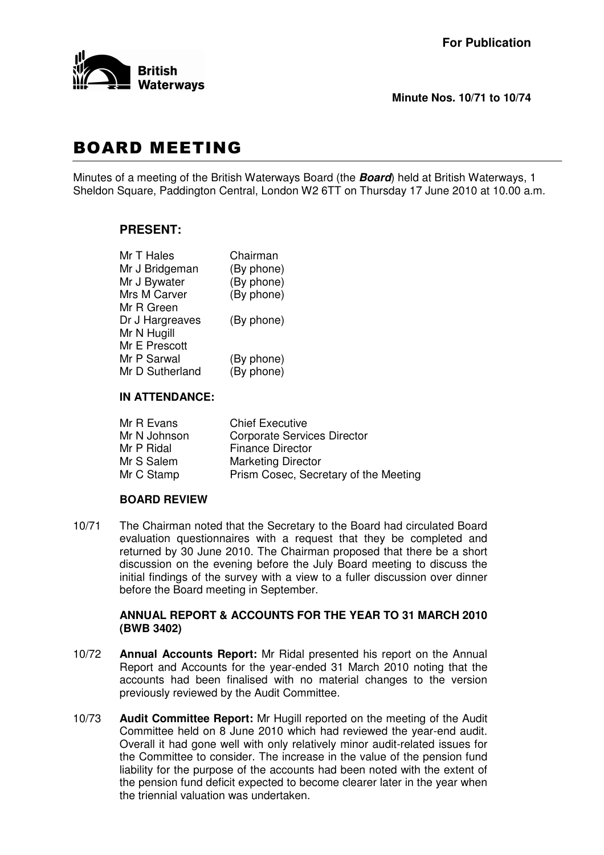

# **BOARD MEETING**

Minutes of a meeting of the British Waterways Board (the *Board*) held at British Waterways, 1 Sheldon Square, Paddington Central, London W2 6TT on Thursday 17 June 2010 at 10.00 a.m.

## **PRESENT:**

| Chairman   |
|------------|
| (By phone) |
| (By phone) |
| (By phone) |
|            |
| (By phone) |
|            |
|            |
| (By phone) |
| (By phone) |
|            |

### **IN ATTENDANCE:**

| <b>Chief Executive</b>                |
|---------------------------------------|
| <b>Corporate Services Director</b>    |
| <b>Finance Director</b>               |
| <b>Marketing Director</b>             |
| Prism Cosec, Secretary of the Meeting |
|                                       |

#### **BOARD REVIEW**

10/71 The Chairman noted that the Secretary to the Board had circulated Board evaluation questionnaires with a request that they be completed and returned by 30 June 2010. The Chairman proposed that there be a short discussion on the evening before the July Board meeting to discuss the initial findings of the survey with a view to a fuller discussion over dinner before the Board meeting in September.

#### **ANNUAL REPORT & ACCOUNTS FOR THE YEAR TO 31 MARCH 2010 (BWB 3402)**

- 10/72 **Annual Accounts Report:** Mr Ridal presented his report on the Annual Report and Accounts for the year-ended 31 March 2010 noting that the accounts had been finalised with no material changes to the version previously reviewed by the Audit Committee.
- 10/73 **Audit Committee Report:** Mr Hugill reported on the meeting of the Audit Committee held on 8 June 2010 which had reviewed the year-end audit. Overall it had gone well with only relatively minor audit-related issues for the Committee to consider. The increase in the value of the pension fund liability for the purpose of the accounts had been noted with the extent of the pension fund deficit expected to become clearer later in the year when the triennial valuation was undertaken.